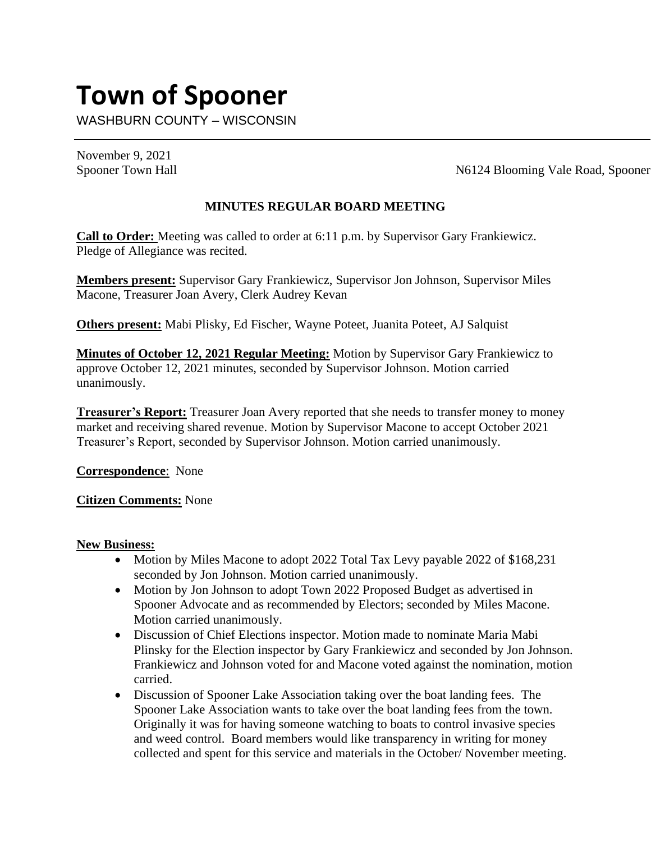# **Town of Spooner**

WASHBURN COUNTY – WISCONSIN

November 9, 2021

Spooner Town Hall N6124 Blooming Vale Road, Spooner

#### **MINUTES REGULAR BOARD MEETING**

**Call to Order:** Meeting was called to order at 6:11 p.m. by Supervisor Gary Frankiewicz. Pledge of Allegiance was recited.

**Members present:** Supervisor Gary Frankiewicz, Supervisor Jon Johnson, Supervisor Miles Macone, Treasurer Joan Avery, Clerk Audrey Kevan

**Others present:** Mabi Plisky, Ed Fischer, Wayne Poteet, Juanita Poteet, AJ Salquist

**Minutes of October 12, 2021 Regular Meeting:** Motion by Supervisor Gary Frankiewicz to approve October 12, 2021 minutes, seconded by Supervisor Johnson. Motion carried unanimously.

**Treasurer's Report:** Treasurer Joan Avery reported that she needs to transfer money to money market and receiving shared revenue. Motion by Supervisor Macone to accept October 2021 Treasurer's Report, seconded by Supervisor Johnson. Motion carried unanimously.

**Correspondence**: None

**Citizen Comments:** None

#### **New Business:**

- Motion by Miles Macone to adopt 2022 Total Tax Levy payable 2022 of \$168,231 seconded by Jon Johnson. Motion carried unanimously.
- Motion by Jon Johnson to adopt Town 2022 Proposed Budget as advertised in Spooner Advocate and as recommended by Electors; seconded by Miles Macone. Motion carried unanimously.
- Discussion of Chief Elections inspector. Motion made to nominate Maria Mabi Plinsky for the Election inspector by Gary Frankiewicz and seconded by Jon Johnson. Frankiewicz and Johnson voted for and Macone voted against the nomination, motion carried.
- Discussion of Spooner Lake Association taking over the boat landing fees. The Spooner Lake Association wants to take over the boat landing fees from the town. Originally it was for having someone watching to boats to control invasive species and weed control. Board members would like transparency in writing for money collected and spent for this service and materials in the October/ November meeting.